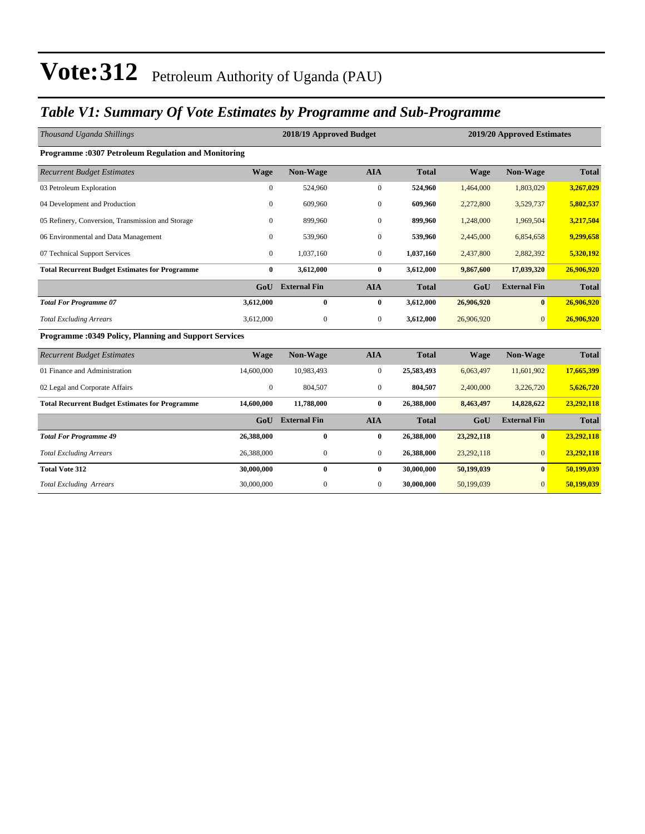#### *Table V1: Summary Of Vote Estimates by Programme and Sub-Programme*

| Thousand Uganda Shillings                                  |                  | 2018/19 Approved Budget<br>2019/20 Approved Estimates |                  |              |             |                     |              |
|------------------------------------------------------------|------------------|-------------------------------------------------------|------------------|--------------|-------------|---------------------|--------------|
| <b>Programme: 0307 Petroleum Regulation and Monitoring</b> |                  |                                                       |                  |              |             |                     |              |
| <b>Recurrent Budget Estimates</b>                          | <b>Wage</b>      | Non-Wage                                              | <b>AIA</b>       | <b>Total</b> | <b>Wage</b> | Non-Wage            | <b>Total</b> |
| 03 Petroleum Exploration                                   | $\overline{0}$   | 524,960                                               | $\boldsymbol{0}$ | 524,960      | 1,464,000   | 1,803,029           | 3,267,029    |
| 04 Development and Production                              | $\mathbf{0}$     | 609,960                                               | $\boldsymbol{0}$ | 609,960      | 2,272,800   | 3,529,737           | 5,802,537    |
| 05 Refinery, Conversion, Transmission and Storage          | $\Omega$         | 899,960                                               | $\mathbf{0}$     | 899,960      | 1,248,000   | 1,969,504           | 3,217,504    |
| 06 Environmental and Data Management                       | $\overline{0}$   | 539,960                                               | $\boldsymbol{0}$ | 539,960      | 2,445,000   | 6,854,658           | 9,299,658    |
| 07 Technical Support Services                              | $\overline{0}$   | 1,037,160                                             | $\mathbf{0}$     | 1,037,160    | 2,437,800   | 2,882,392           | 5,320,192    |
| <b>Total Recurrent Budget Estimates for Programme</b>      | $\bf{0}$         | 3,612,000                                             | $\bf{0}$         | 3,612,000    | 9,867,600   | 17,039,320          | 26,906,920   |
|                                                            | GoU              | <b>External Fin</b>                                   | <b>AIA</b>       | <b>Total</b> | GoU         | <b>External Fin</b> | <b>Total</b> |
| <b>Total For Programme 07</b>                              | 3,612,000        | $\bf{0}$                                              | $\bf{0}$         | 3,612,000    | 26,906,920  | $\bf{0}$            | 26,906,920   |
| <b>Total Excluding Arrears</b>                             | 3,612,000        | $\mathbf{0}$                                          | $\boldsymbol{0}$ | 3,612,000    | 26,906,920  | $\Omega$            | 26,906,920   |
| Programme : 0349 Policy, Planning and Support Services     |                  |                                                       |                  |              |             |                     |              |
| <b>Recurrent Budget Estimates</b>                          | <b>Wage</b>      | Non-Wage                                              | <b>AIA</b>       | <b>Total</b> | <b>Wage</b> | Non-Wage            | <b>Total</b> |
| 01 Finance and Administration                              | 14,600,000       | 10,983,493                                            | $\boldsymbol{0}$ | 25,583,493   | 6,063,497   | 11,601,902          | 17,665,399   |
| 02 Legal and Corporate Affairs                             | $\boldsymbol{0}$ | 804,507                                               | $\boldsymbol{0}$ | 804,507      | 2,400,000   | 3,226,720           | 5,626,720    |
| <b>Total Recurrent Budget Estimates for Programme</b>      | 14,600,000       | 11,788,000                                            | $\bf{0}$         | 26,388,000   | 8,463,497   | 14,828,622          | 23,292,118   |
|                                                            | GoU              | <b>External Fin</b>                                   | <b>AIA</b>       | <b>Total</b> | GoU         | <b>External Fin</b> | <b>Total</b> |
| <b>Total For Programme 49</b>                              | 26,388,000       | $\bf{0}$                                              | $\bf{0}$         | 26,388,000   | 23,292,118  | $\bf{0}$            | 23,292,118   |
| <b>Total Excluding Arrears</b>                             | 26,388,000       | $\mathbf{0}$                                          | $\boldsymbol{0}$ | 26,388,000   | 23,292,118  | $\mathbf{0}$        | 23,292,118   |
| <b>Total Vote 312</b>                                      | 30,000,000       | $\bf{0}$                                              | $\bf{0}$         | 30,000,000   | 50,199,039  | $\bf{0}$            | 50,199,039   |
| <b>Total Excluding Arrears</b>                             | 30,000,000       | $\mathbf{0}$                                          | $\mathbf{0}$     | 30,000,000   | 50,199,039  | $\overline{0}$      | 50,199,039   |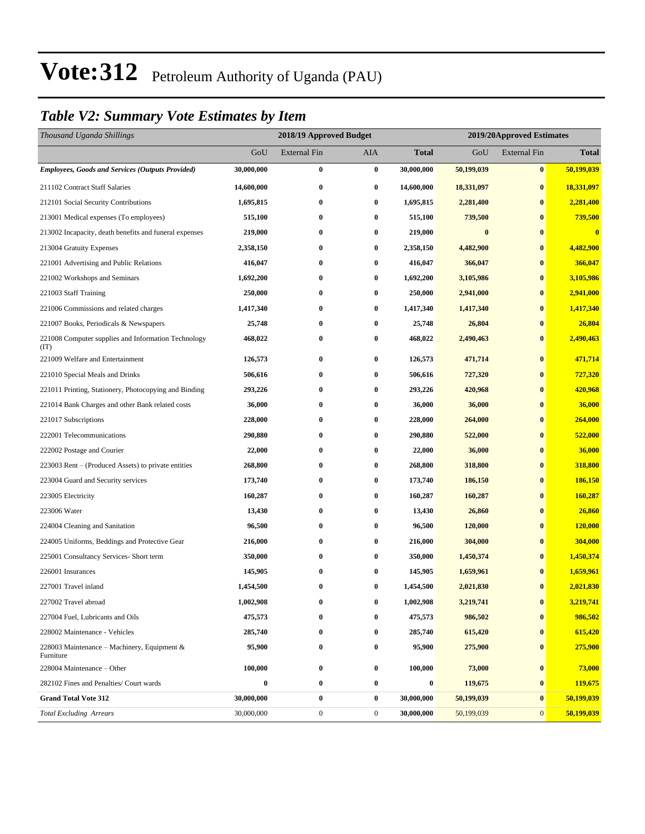#### *Table V2: Summary Vote Estimates by Item*

| Thousand Uganda Shillings                                   |            | 2018/19 Approved Budget |                  |                  | 2019/20Approved Estimates |                     |                |
|-------------------------------------------------------------|------------|-------------------------|------------------|------------------|---------------------------|---------------------|----------------|
|                                                             | GoU        | <b>External Fin</b>     | <b>AIA</b>       | <b>Total</b>     | GoU                       | <b>External Fin</b> | <b>Total</b>   |
| <b>Employees, Goods and Services (Outputs Provided)</b>     | 30,000,000 | $\bf{0}$                | $\bf{0}$         | 30,000,000       | 50,199,039                | $\bf{0}$            | 50,199,039     |
| 211102 Contract Staff Salaries                              | 14,600,000 | $\bf{0}$                | $\bf{0}$         | 14,600,000       | 18,331,097                | $\bf{0}$            | 18,331,097     |
| 212101 Social Security Contributions                        | 1,695,815  | $\bf{0}$                | $\bf{0}$         | 1,695,815        | 2,281,400                 | $\bf{0}$            | 2,281,400      |
| 213001 Medical expenses (To employees)                      | 515,100    | 0                       | $\bf{0}$         | 515,100          | 739,500                   | $\bf{0}$            | 739,500        |
| 213002 Incapacity, death benefits and funeral expenses      | 219,000    | $\bf{0}$                | $\bf{0}$         | 219,000          | $\bf{0}$                  | $\bf{0}$            | $\bf{0}$       |
| 213004 Gratuity Expenses                                    | 2,358,150  | $\bf{0}$                | $\bf{0}$         | 2,358,150        | 4,482,900                 | $\bf{0}$            | 4,482,900      |
| 221001 Advertising and Public Relations                     | 416,047    | $\bf{0}$                | $\bf{0}$         | 416,047          | 366,047                   | $\bf{0}$            | 366,047        |
| 221002 Workshops and Seminars                               | 1,692,200  | $\bf{0}$                | $\bf{0}$         | 1,692,200        | 3,105,986                 | $\bf{0}$            | 3,105,986      |
| 221003 Staff Training                                       | 250,000    | $\bf{0}$                | $\bf{0}$         | 250,000          | 2,941,000                 | $\bf{0}$            | 2,941,000      |
| 221006 Commissions and related charges                      | 1,417,340  | $\bf{0}$                | $\bf{0}$         | 1,417,340        | 1,417,340                 | $\bf{0}$            | 1,417,340      |
| 221007 Books, Periodicals & Newspapers                      | 25,748     | $\bf{0}$                | $\bf{0}$         | 25,748           | 26,804                    | $\bf{0}$            | 26,804         |
| 221008 Computer supplies and Information Technology<br>(TT) | 468,022    | $\bf{0}$                | $\bf{0}$         | 468,022          | 2,490,463                 | $\bf{0}$            | 2,490,463      |
| 221009 Welfare and Entertainment                            | 126,573    | $\bf{0}$                | $\bf{0}$         | 126,573          | 471,714                   | $\bf{0}$            | 471,714        |
| 221010 Special Meals and Drinks                             | 506,616    | $\bf{0}$                | $\bf{0}$         | 506,616          | 727,320                   | $\bf{0}$            | 727,320        |
| 221011 Printing, Stationery, Photocopying and Binding       | 293,226    | 0                       | $\bf{0}$         | 293,226          | 420,968                   | $\bf{0}$            | 420,968        |
| 221014 Bank Charges and other Bank related costs            | 36,000     | 0                       | $\bf{0}$         | 36,000           | 36,000                    | $\bf{0}$            | 36,000         |
| 221017 Subscriptions                                        | 228,000    | $\bf{0}$                | $\bf{0}$         | 228,000          | 264,000                   | $\bf{0}$            | 264,000        |
| 222001 Telecommunications                                   | 290,880    | $\bf{0}$                | $\bf{0}$         | 290,880          | 522,000                   | $\bf{0}$            | 522,000        |
| 222002 Postage and Courier                                  | 22,000     | $\bf{0}$                | $\bf{0}$         | 22,000           | 36,000                    | $\bf{0}$            | 36,000         |
| 223003 Rent – (Produced Assets) to private entities         | 268,800    | $\bf{0}$                | $\bf{0}$         | 268,800          | 318,800                   | $\bf{0}$            | 318,800        |
| 223004 Guard and Security services                          | 173,740    | $\bf{0}$                | $\bf{0}$         | 173,740          | 186,150                   | $\bf{0}$            | <b>186,150</b> |
| 223005 Electricity                                          | 160,287    | $\bf{0}$                | $\bf{0}$         | 160,287          | 160,287                   | $\bf{0}$            | 160,287        |
| 223006 Water                                                | 13,430     | $\bf{0}$                | $\bf{0}$         | 13,430           | 26,860                    | $\bf{0}$            | 26,860         |
| 224004 Cleaning and Sanitation                              | 96,500     | $\bf{0}$                | $\bf{0}$         | 96,500           | 120,000                   | $\bf{0}$            | 120,000        |
| 224005 Uniforms, Beddings and Protective Gear               | 216,000    | $\bf{0}$                | $\bf{0}$         | 216,000          | 304,000                   | $\bf{0}$            | 304,000        |
| 225001 Consultancy Services- Short term                     | 350,000    | $\bf{0}$                | $\bf{0}$         | 350,000          | 1,450,374                 | $\bf{0}$            | 1,450,374      |
| 226001 Insurances                                           | 145,905    | $\bf{0}$                | $\bf{0}$         | 145,905          | 1,659,961                 | $\bf{0}$            | 1,659,961      |
| 227001 Travel inland                                        | 1,454,500  | $\bf{0}$                | $\bf{0}$         | 1,454,500        | 2,021,830                 | $\bf{0}$            | 2,021,830      |
| 227002 Travel abroad                                        | 1,002,908  | 0                       | $\bf{0}$         | 1,002,908        | 3,219,741                 | $\pmb{0}$           | 3,219,741      |
| 227004 Fuel, Lubricants and Oils                            | 475,573    | $\bf{0}$                | $\bf{0}$         | 475,573          | 986,502                   | $\bf{0}$            | 986,502        |
| 228002 Maintenance - Vehicles                               | 285,740    | $\boldsymbol{0}$        | $\bf{0}$         | 285,740          | 615,420                   | $\bf{0}$            | 615,420        |
| 228003 Maintenance – Machinery, Equipment $\&$<br>Furniture | 95,900     | $\bf{0}$                | $\bf{0}$         | 95,900           | 275,900                   | $\bf{0}$            | 275,900        |
| 228004 Maintenance – Other                                  | 100,000    | $\boldsymbol{0}$        | $\bf{0}$         | 100,000          | 73,000                    | $\bf{0}$            | 73,000         |
| 282102 Fines and Penalties/ Court wards                     | $\bf{0}$   | $\bf{0}$                | $\bf{0}$         | $\boldsymbol{0}$ | 119,675                   | $\bf{0}$            | 119,675        |
| <b>Grand Total Vote 312</b>                                 | 30,000,000 | $\boldsymbol{0}$        | $\bf{0}$         | 30,000,000       | 50,199,039                | $\bf{0}$            | 50,199,039     |
| <b>Total Excluding Arrears</b>                              | 30,000,000 | $\boldsymbol{0}$        | $\boldsymbol{0}$ | 30,000,000       | 50,199,039                | $\mathbf{0}$        | 50,199,039     |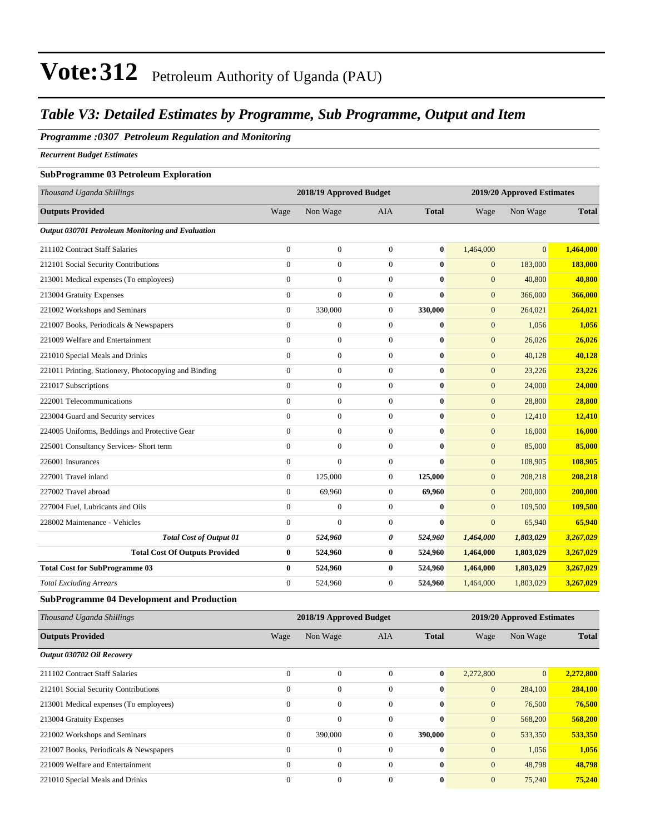#### *Table V3: Detailed Estimates by Programme, Sub Programme, Output and Item*

#### *Programme :0307 Petroleum Regulation and Monitoring*

*Recurrent Budget Estimates*

#### **SubProgramme 03 Petroleum Exploration**

| Thousand Uganda Shillings                                        |                | 2018/19 Approved Budget |                  |              |                | 2019/20 Approved Estimates |                |  |
|------------------------------------------------------------------|----------------|-------------------------|------------------|--------------|----------------|----------------------------|----------------|--|
| <b>Outputs Provided</b>                                          | Wage           | Non Wage                | AIA              | <b>Total</b> | Wage           | Non Wage                   | <b>Total</b>   |  |
| Output 030701 Petroleum Monitoring and Evaluation                |                |                         |                  |              |                |                            |                |  |
| 211102 Contract Staff Salaries                                   | $\theta$       | $\mathbf{0}$            | $\overline{0}$   | $\bf{0}$     | 1,464,000      | $\Omega$                   | 1,464,000      |  |
| 212101 Social Security Contributions                             | $\mathbf{0}$   | $\boldsymbol{0}$        | $\boldsymbol{0}$ | $\bf{0}$     | $\mathbf{0}$   | 183,000                    | 183,000        |  |
| 213001 Medical expenses (To employees)                           | $\mathbf{0}$   | $\boldsymbol{0}$        | $\overline{0}$   | $\bf{0}$     | $\mathbf{0}$   | 40,800                     | 40,800         |  |
| 213004 Gratuity Expenses                                         | $\mathbf{0}$   | $\mathbf{0}$            | $\mathbf{0}$     | $\bf{0}$     | $\overline{0}$ | 366,000                    | 366,000        |  |
| 221002 Workshops and Seminars                                    | $\mathbf{0}$   | 330,000                 | $\boldsymbol{0}$ | 330,000      | $\mathbf{0}$   | 264,021                    | 264,021        |  |
| 221007 Books, Periodicals & Newspapers                           | $\overline{0}$ | $\boldsymbol{0}$        | $\overline{0}$   | $\bf{0}$     | $\mathbf{0}$   | 1,056                      | 1,056          |  |
| 221009 Welfare and Entertainment                                 | $\mathbf{0}$   | $\boldsymbol{0}$        | $\boldsymbol{0}$ | $\bf{0}$     | $\mathbf{0}$   | 26,026                     | 26,026         |  |
| 221010 Special Meals and Drinks                                  | $\mathbf{0}$   | $\boldsymbol{0}$        | $\boldsymbol{0}$ | $\bf{0}$     | $\mathbf{0}$   | 40,128                     | 40,128         |  |
| 221011 Printing, Stationery, Photocopying and Binding            | $\Omega$       | $\mathbf{0}$            | $\mathbf{0}$     | $\mathbf{0}$ | $\mathbf{0}$   | 23,226                     | 23,226         |  |
| 221017 Subscriptions                                             | $\mathbf{0}$   | $\boldsymbol{0}$        | $\overline{0}$   | $\bf{0}$     | $\mathbf{0}$   | 24,000                     | 24,000         |  |
| 222001 Telecommunications                                        | $\theta$       | $\boldsymbol{0}$        | $\overline{0}$   | $\bf{0}$     | $\mathbf{0}$   | 28,800                     | 28,800         |  |
| 223004 Guard and Security services                               | $\mathbf{0}$   | $\boldsymbol{0}$        | $\boldsymbol{0}$ | $\bf{0}$     | $\mathbf{0}$   | 12,410                     | 12,410         |  |
| 224005 Uniforms, Beddings and Protective Gear                    | $\Omega$       | $\overline{0}$          | $\overline{0}$   | $\mathbf{0}$ | $\mathbf{0}$   | 16,000                     | 16,000         |  |
| 225001 Consultancy Services- Short term                          | $\Omega$       | $\mathbf{0}$            | $\Omega$         | $\mathbf{0}$ | $\overline{0}$ | 85,000                     | 85,000         |  |
| 226001 Insurances                                                | $\mathbf{0}$   | $\overline{0}$          | $\boldsymbol{0}$ | $\bf{0}$     | $\mathbf{0}$   | 108,905                    | 108,905        |  |
| 227001 Travel inland                                             | $\overline{0}$ | 125,000                 | $\overline{0}$   | 125,000      | $\mathbf{0}$   | 208,218                    | 208,218        |  |
| 227002 Travel abroad                                             | $\mathbf{0}$   | 69,960                  | $\mathbf{0}$     | 69,960       | $\mathbf{0}$   | 200,000                    | 200,000        |  |
| 227004 Fuel, Lubricants and Oils                                 | $\mathbf{0}$   | $\boldsymbol{0}$        | $\overline{0}$   | $\bf{0}$     | $\mathbf{0}$   | 109,500                    | <b>109,500</b> |  |
| 228002 Maintenance - Vehicles                                    | $\mathbf{0}$   | $\overline{0}$          | $\overline{0}$   | $\mathbf{0}$ | $\overline{0}$ | 65,940                     | 65,940         |  |
| <b>Total Cost of Output 01</b>                                   | 0              | 524,960                 | 0                | 524,960      | 1,464,000      | 1,803,029                  | 3,267,029      |  |
| <b>Total Cost Of Outputs Provided</b>                            | $\bf{0}$       | 524,960                 | 0                | 524,960      | 1,464,000      | 1,803,029                  | 3,267,029      |  |
| <b>Total Cost for SubProgramme 03</b>                            | $\bf{0}$       | 524,960                 | 0                | 524,960      | 1,464,000      | 1,803,029                  | 3,267,029      |  |
| <b>Total Excluding Arrears</b>                                   | $\mathbf{0}$   | 524,960                 | $\mathbf{0}$     | 524,960      | 1,464,000      | 1,803,029                  | 3,267,029      |  |
| <b>SubProgramme 04 Development and Production</b>                |                |                         |                  |              |                |                            |                |  |
| $TL_{1}, \ldots, T_{n}$ $1$ $11, \ldots, 1$ $1$ $11, 11, \ldots$ |                | 2010/10A                | $1 - 1 -$        |              | 2010/2014      | $1.77 - 42$                |                |  |

| Thousand Uganda Shillings              |                | 2018/19 Approved Budget |              |              |                |                | 2019/20 Approved Estimates |  |  |  |
|----------------------------------------|----------------|-------------------------|--------------|--------------|----------------|----------------|----------------------------|--|--|--|
| <b>Outputs Provided</b>                | Wage           | Non Wage                | <b>AIA</b>   | <b>Total</b> | Wage           | Non Wage       | <b>Total</b>               |  |  |  |
| Output 030702 Oil Recovery             |                |                         |              |              |                |                |                            |  |  |  |
| 211102 Contract Staff Salaries         | $\mathbf{0}$   | $\mathbf{0}$            | $\Omega$     | $\bf{0}$     | 2,272,800      | $\overline{0}$ | 2,272,800                  |  |  |  |
| 212101 Social Security Contributions   | $\Omega$       | $\mathbf{0}$            | $\Omega$     | $\bf{0}$     | $\mathbf{0}$   | 284,100        | 284,100                    |  |  |  |
| 213001 Medical expenses (To employees) | $\mathbf{0}$   | $\mathbf{0}$            | $\mathbf{0}$ | $\bf{0}$     | $\mathbf{0}$   | 76,500         | 76,500                     |  |  |  |
| 213004 Gratuity Expenses               | $\Omega$       | $\mathbf{0}$            | $\Omega$     | $\mathbf{0}$ | $\mathbf{0}$   | 568,200        | 568,200                    |  |  |  |
| 221002 Workshops and Seminars          | $\overline{0}$ | 390,000                 | $\Omega$     | 390,000      | $\mathbf{0}$   | 533,350        | 533,350                    |  |  |  |
| 221007 Books, Periodicals & Newspapers | $\mathbf{0}$   | $\mathbf{0}$            | $\mathbf{0}$ | $\bf{0}$     | $\mathbf{0}$   | 1,056          | 1,056                      |  |  |  |
| 221009 Welfare and Entertainment       | $\Omega$       | $\mathbf{0}$            | $\Omega$     | $\bf{0}$     | $\overline{0}$ | 48,798         | 48,798                     |  |  |  |
| 221010 Special Meals and Drinks        | $\Omega$       | $\overline{0}$          | $\mathbf{0}$ | $\bf{0}$     | $\mathbf{0}$   | 75,240         | 75,240                     |  |  |  |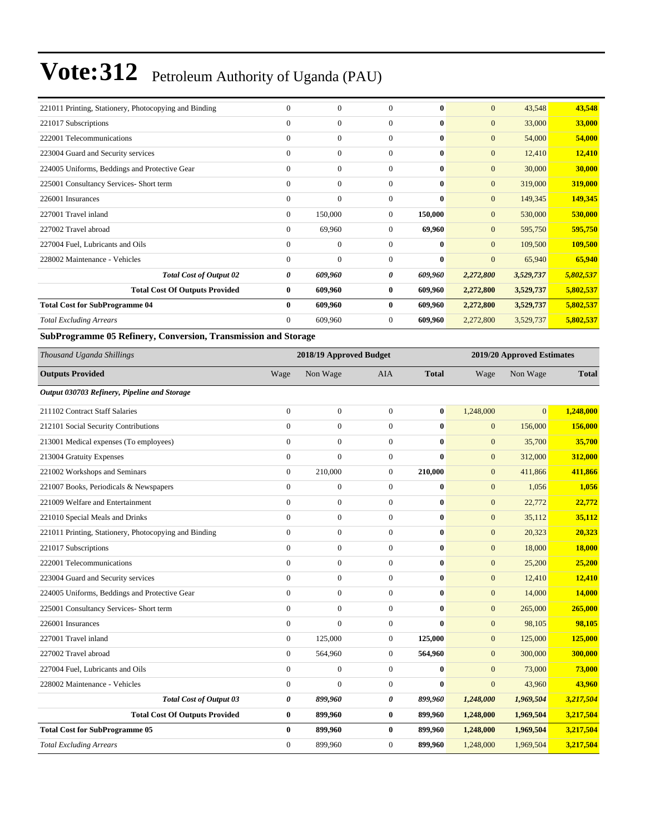| 221011 Printing, Stationery, Photocopying and Binding | $\theta$       | $\overline{0}$   | $\Omega$     | $\mathbf{0}$ | $\mathbf{0}$   | 43,548    | 43,548         |
|-------------------------------------------------------|----------------|------------------|--------------|--------------|----------------|-----------|----------------|
| 221017 Subscriptions                                  | $\mathbf{0}$   | $\mathbf{0}$     | $\mathbf{0}$ | $\bf{0}$     | $\mathbf{0}$   | 33,000    | 33,000         |
| 222001 Telecommunications                             | $\Omega$       | $\overline{0}$   | $\Omega$     | $\bf{0}$     | $\overline{0}$ | 54,000    | 54,000         |
| 223004 Guard and Security services                    | $\overline{0}$ | $\overline{0}$   | $\Omega$     | $\mathbf{0}$ | $\mathbf{0}$   | 12,410    | 12,410         |
| 224005 Uniforms, Beddings and Protective Gear         | $\mathbf{0}$   | $\boldsymbol{0}$ | $\mathbf{0}$ | $\bf{0}$     | $\mathbf{0}$   | 30,000    | 30,000         |
| 225001 Consultancy Services- Short term               | $\mathbf{0}$   | $\boldsymbol{0}$ | $\mathbf{0}$ | $\bf{0}$     | $\mathbf{0}$   | 319,000   | 319,000        |
| 226001 Insurances                                     | $\Omega$       | $\mathbf{0}$     | $\Omega$     | $\bf{0}$     | $\mathbf{0}$   | 149,345   | <b>149,345</b> |
| 227001 Travel inland                                  | $\mathbf{0}$   | 150,000          | $\mathbf{0}$ | 150,000      | $\mathbf{0}$   | 530,000   | 530,000        |
| 227002 Travel abroad                                  | $\Omega$       | 69,960           | $\mathbf{0}$ | 69,960       | $\mathbf{0}$   | 595,750   | 595,750        |
| 227004 Fuel, Lubricants and Oils                      | $\Omega$       | $\mathbf{0}$     | $\Omega$     | $\mathbf{0}$ | $\overline{0}$ | 109,500   | 109,500        |
| 228002 Maintenance - Vehicles                         | $\mathbf{0}$   | $\mathbf{0}$     | $\mathbf{0}$ | $\bf{0}$     | $\mathbf{0}$   | 65,940    | 65,940         |
| <b>Total Cost of Output 02</b>                        | 0              | 609,960          | 0            | 609,960      | 2,272,800      | 3,529,737 | 5,802,537      |
| <b>Total Cost Of Outputs Provided</b>                 | $\bf{0}$       | 609,960          | $\bf{0}$     | 609,960      | 2,272,800      | 3,529,737 | 5,802,537      |
| <b>Total Cost for SubProgramme 04</b>                 | $\bf{0}$       | 609,960          | $\bf{0}$     | 609,960      | 2,272,800      | 3,529,737 | 5,802,537      |
| <b>Total Excluding Arrears</b>                        | $\mathbf{0}$   | 609,960          | $\Omega$     | 609,960      | 2,272,800      | 3,529,737 | 5,802,537      |

**SubProgramme 05 Refinery, Conversion, Transmission and Storage**

| Thousand Uganda Shillings                             |                  | 2018/19 Approved Budget |                |              |                | 2019/20 Approved Estimates |              |  |
|-------------------------------------------------------|------------------|-------------------------|----------------|--------------|----------------|----------------------------|--------------|--|
| <b>Outputs Provided</b>                               | Wage             | Non Wage                | <b>AIA</b>     | <b>Total</b> | Wage           | Non Wage                   | <b>Total</b> |  |
| Output 030703 Refinery, Pipeline and Storage          |                  |                         |                |              |                |                            |              |  |
| 211102 Contract Staff Salaries                        | $\boldsymbol{0}$ | $\mathbf{0}$            | $\overline{0}$ | $\bf{0}$     | 1,248,000      | $\mathbf{0}$               | 1,248,000    |  |
| 212101 Social Security Contributions                  | $\mathbf{0}$     | $\overline{0}$          | $\Omega$       | $\bf{0}$     | $\mathbf{0}$   | 156,000                    | 156,000      |  |
| 213001 Medical expenses (To employees)                | $\theta$         | $\Omega$                | $\Omega$       | $\bf{0}$     | $\mathbf{0}$   | 35,700                     | 35,700       |  |
| 213004 Gratuity Expenses                              | $\mathbf{0}$     | $\overline{0}$          | $\mathbf{0}$   | $\bf{0}$     | $\mathbf{0}$   | 312,000                    | 312,000      |  |
| 221002 Workshops and Seminars                         | $\mathbf{0}$     | 210,000                 | $\overline{0}$ | 210,000      | $\mathbf{0}$   | 411,866                    | 411,866      |  |
| 221007 Books, Periodicals & Newspapers                | $\mathbf{0}$     | $\mathbf{0}$            | $\overline{0}$ | $\bf{0}$     | $\mathbf{0}$   | 1,056                      | 1,056        |  |
| 221009 Welfare and Entertainment                      | $\mathbf{0}$     | $\overline{0}$          | $\overline{0}$ | $\bf{0}$     | $\mathbf{0}$   | 22,772                     | 22,772       |  |
| 221010 Special Meals and Drinks                       | $\theta$         | $\mathbf{0}$            | $\overline{0}$ | $\bf{0}$     | $\mathbf{0}$   | 35,112                     | 35,112       |  |
| 221011 Printing, Stationery, Photocopying and Binding | $\mathbf{0}$     | $\mathbf{0}$            | $\overline{0}$ | $\mathbf{0}$ | $\mathbf{0}$   | 20,323                     | 20,323       |  |
| 221017 Subscriptions                                  | $\mathbf{0}$     | $\boldsymbol{0}$        | $\overline{0}$ | $\bf{0}$     | $\mathbf{0}$   | 18,000                     | 18,000       |  |
| 222001 Telecommunications                             | $\mathbf{0}$     | $\mathbf{0}$            | $\overline{0}$ | $\bf{0}$     | $\mathbf{0}$   | 25,200                     | 25,200       |  |
| 223004 Guard and Security services                    | $\mathbf{0}$     | $\mathbf{0}$            | $\overline{0}$ | $\bf{0}$     | $\mathbf{0}$   | 12,410                     | 12,410       |  |
| 224005 Uniforms, Beddings and Protective Gear         | $\theta$         | $\mathbf{0}$            | $\overline{0}$ | $\bf{0}$     | $\mathbf{0}$   | 14,000                     | 14,000       |  |
| 225001 Consultancy Services- Short term               | $\mathbf{0}$     | $\mathbf{0}$            | $\mathbf{0}$   | $\bf{0}$     | $\mathbf{0}$   | 265,000                    | 265,000      |  |
| 226001 Insurances                                     | $\mathbf{0}$     | $\overline{0}$          | $\mathbf{0}$   | $\bf{0}$     | $\overline{0}$ | 98,105                     | 98,105       |  |
| 227001 Travel inland                                  | $\mathbf{0}$     | 125,000                 | $\overline{0}$ | 125,000      | $\mathbf{0}$   | 125,000                    | 125,000      |  |
| 227002 Travel abroad                                  | $\mathbf{0}$     | 564,960                 | $\overline{0}$ | 564,960      | $\mathbf{0}$   | 300,000                    | 300,000      |  |
| 227004 Fuel, Lubricants and Oils                      | $\mathbf{0}$     | $\overline{0}$          | $\overline{0}$ | $\bf{0}$     | $\mathbf{0}$   | 73,000                     | 73,000       |  |
| 228002 Maintenance - Vehicles                         | $\mathbf{0}$     | $\Omega$                | $\mathbf{0}$   | $\bf{0}$     | $\mathbf{0}$   | 43,960                     | 43,960       |  |
| <b>Total Cost of Output 03</b>                        | 0                | 899,960                 | 0              | 899,960      | 1,248,000      | 1,969,504                  | 3,217,504    |  |
| <b>Total Cost Of Outputs Provided</b>                 | $\bf{0}$         | 899,960                 | $\bf{0}$       | 899,960      | 1,248,000      | 1,969,504                  | 3,217,504    |  |
| <b>Total Cost for SubProgramme 05</b>                 | $\bf{0}$         | 899,960                 | $\bf{0}$       | 899,960      | 1,248,000      | 1,969,504                  | 3,217,504    |  |
| <b>Total Excluding Arrears</b>                        | $\mathbf{0}$     | 899,960                 | $\mathbf{0}$   | 899,960      | 1.248,000      | 1,969,504                  | 3.217.504    |  |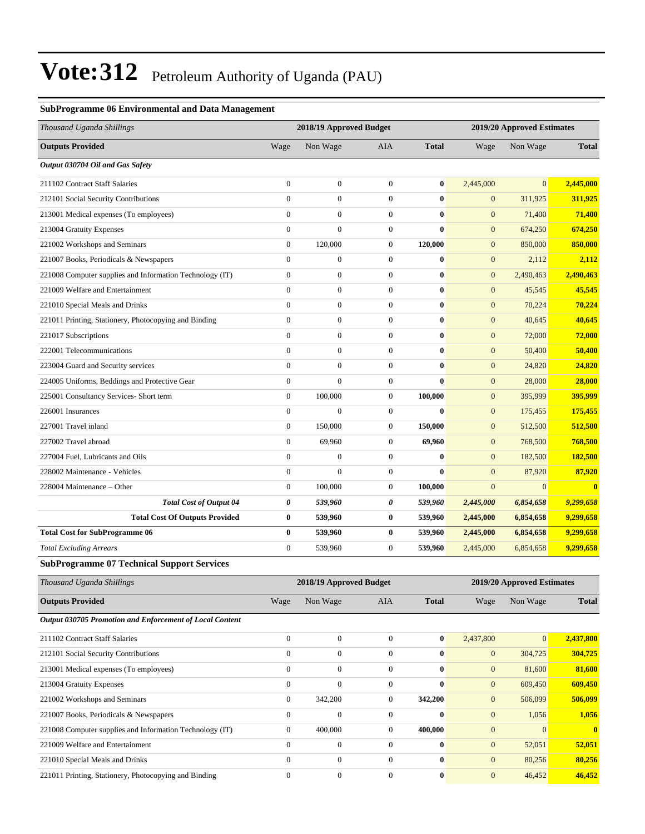#### **SubProgramme 06 Environmental and Data Management**

| Thousand Uganda Shillings                                | 2018/19 Approved Budget |                  |                |              | 2019/20 Approved Estimates |                |                |
|----------------------------------------------------------|-------------------------|------------------|----------------|--------------|----------------------------|----------------|----------------|
| <b>Outputs Provided</b>                                  | Wage                    | Non Wage         | <b>AIA</b>     | <b>Total</b> | Wage                       | Non Wage       | <b>Total</b>   |
| Output 030704 Oil and Gas Safety                         |                         |                  |                |              |                            |                |                |
| 211102 Contract Staff Salaries                           | $\mathbf{0}$            | $\boldsymbol{0}$ | $\overline{0}$ | $\bf{0}$     | 2,445,000                  | $\overline{0}$ | 2,445,000      |
| 212101 Social Security Contributions                     | $\Omega$                | $\mathbf{0}$     | $\overline{0}$ | $\bf{0}$     | $\mathbf{0}$               | 311,925        | 311,925        |
| 213001 Medical expenses (To employees)                   | $\overline{0}$          | $\boldsymbol{0}$ | $\overline{0}$ | $\bf{0}$     | $\boldsymbol{0}$           | 71,400         | 71,400         |
| 213004 Gratuity Expenses                                 | $\overline{0}$          | $\Omega$         | $\overline{0}$ | $\bf{0}$     | $\mathbf{0}$               | 674,250        | 674,250        |
| 221002 Workshops and Seminars                            | $\theta$                | 120,000          | $\overline{0}$ | 120,000      | $\mathbf{0}$               | 850,000        | 850,000        |
| 221007 Books, Periodicals & Newspapers                   | $\theta$                | $\boldsymbol{0}$ | $\overline{0}$ | $\bf{0}$     | $\mathbf{0}$               | 2,112          | 2,112          |
| 221008 Computer supplies and Information Technology (IT) | $\overline{0}$          | $\mathbf{0}$     | $\overline{0}$ | $\bf{0}$     | $\mathbf{0}$               | 2,490,463      | 2,490,463      |
| 221009 Welfare and Entertainment                         | $\Omega$                | $\overline{0}$   | $\overline{0}$ | $\bf{0}$     | $\mathbf{0}$               | 45,545         | 45,545         |
| 221010 Special Meals and Drinks                          | $\overline{0}$          | $\overline{0}$   | $\overline{0}$ | $\bf{0}$     | $\mathbf{0}$               | 70,224         | 70,224         |
| 221011 Printing, Stationery, Photocopying and Binding    | $\Omega$                | $\mathbf{0}$     | $\Omega$       | $\bf{0}$     | $\mathbf{0}$               | 40,645         | 40,645         |
| 221017 Subscriptions                                     | $\mathbf{0}$            | $\boldsymbol{0}$ | $\overline{0}$ | $\bf{0}$     | $\mathbf{0}$               | 72,000         | 72,000         |
| 222001 Telecommunications                                | $\Omega$                | $\mathbf{0}$     | $\overline{0}$ | $\bf{0}$     | $\mathbf{0}$               | 50,400         | 50,400         |
| 223004 Guard and Security services                       | $\overline{0}$          | $\overline{0}$   | $\overline{0}$ | $\bf{0}$     | $\mathbf{0}$               | 24,820         | 24,820         |
| 224005 Uniforms, Beddings and Protective Gear            | $\overline{0}$          | $\Omega$         | $\overline{0}$ | $\bf{0}$     | $\mathbf{0}$               | 28,000         | 28,000         |
| 225001 Consultancy Services- Short term                  | $\theta$                | 100,000          | $\overline{0}$ | 100,000      | $\mathbf{0}$               | 395,999        | 395,999        |
| 226001 Insurances                                        | $\Omega$                | $\Omega$         | $\overline{0}$ | $\bf{0}$     | $\mathbf{0}$               | 175,455        | 175,455        |
| 227001 Travel inland                                     | $\mathbf{0}$            | 150,000          | $\overline{0}$ | 150,000      | $\mathbf{0}$               | 512,500        | 512,500        |
| 227002 Travel abroad                                     | $\overline{0}$          | 69,960           | $\overline{0}$ | 69,960       | $\boldsymbol{0}$           | 768,500        | 768,500        |
| 227004 Fuel, Lubricants and Oils                         | $\overline{0}$          | $\overline{0}$   | $\overline{0}$ | $\bf{0}$     | $\mathbf{0}$               | 182,500        | 182,500        |
| 228002 Maintenance - Vehicles                            | $\Omega$                | $\Omega$         | $\Omega$       | $\bf{0}$     | $\mathbf{0}$               | 87,920         | 87,920         |
| 228004 Maintenance – Other                               | $\mathbf{0}$            | 100,000          | $\overline{0}$ | 100,000      | $\overline{0}$             | $\overline{0}$ | $\overline{0}$ |
| <b>Total Cost of Output 04</b>                           | $\boldsymbol{\theta}$   | 539,960          | 0              | 539,960      | 2,445,000                  | 6,854,658      | 9,299,658      |
| <b>Total Cost Of Outputs Provided</b>                    | $\bf{0}$                | 539,960          | $\bf{0}$       | 539,960      | 2,445,000                  | 6,854,658      | 9,299,658      |
| <b>Total Cost for SubProgramme 06</b>                    | $\mathbf{0}$            | 539,960          | $\bf{0}$       | 539,960      | 2,445,000                  | 6,854,658      | 9,299,658      |
| <b>Total Excluding Arrears</b>                           | $\theta$                | 539,960          | $\overline{0}$ | 539,960      | 2,445,000                  | 6,854,658      | 9,299,658      |
| <b>SubProgramme 07 Technical Support Services</b>        |                         |                  |                |              |                            |                |                |

| Thousand Uganda Shillings                                       |              | 2018/19 Approved Budget |                |              |              | 2019/20 Approved Estimates |              |  |  |
|-----------------------------------------------------------------|--------------|-------------------------|----------------|--------------|--------------|----------------------------|--------------|--|--|
| <b>Outputs Provided</b>                                         | Wage         | Non Wage                | <b>AIA</b>     | <b>Total</b> | Wage         | Non Wage                   | <b>Total</b> |  |  |
| <b>Output 030705 Promotion and Enforcement of Local Content</b> |              |                         |                |              |              |                            |              |  |  |
| 211102 Contract Staff Salaries                                  | $\mathbf{0}$ | $\boldsymbol{0}$        | $\theta$       | $\bf{0}$     | 2,437,800    | $\overline{0}$             | 2,437,800    |  |  |
| 212101 Social Security Contributions                            | $\mathbf{0}$ | $\mathbf{0}$            | $\theta$       | $\bf{0}$     | $\mathbf{0}$ | 304,725                    | 304,725      |  |  |
| 213001 Medical expenses (To employees)                          | $\mathbf{0}$ | $\mathbf{0}$            | $\overline{0}$ | $\bf{0}$     | $\mathbf{0}$ | 81,600                     | 81,600       |  |  |
| 213004 Gratuity Expenses                                        | $\mathbf{0}$ | $\boldsymbol{0}$        | $\overline{0}$ | $\bf{0}$     | $\mathbf{0}$ | 609,450                    | 609,450      |  |  |
| 221002 Workshops and Seminars                                   | $\mathbf{0}$ | 342,200                 | $\overline{0}$ | 342,200      | $\mathbf{0}$ | 506,099                    | 506,099      |  |  |
| 221007 Books, Periodicals & Newspapers                          | $\Omega$     | $\Omega$                | $\Omega$       | $\mathbf{0}$ | $\mathbf{0}$ | 1,056                      | 1,056        |  |  |
| 221008 Computer supplies and Information Technology (IT)        | $\mathbf{0}$ | 400,000                 | $\overline{0}$ | 400,000      | $\mathbf{0}$ | $\Omega$                   | $\mathbf{0}$ |  |  |
| 221009 Welfare and Entertainment                                | $\mathbf{0}$ | $\mathbf{0}$            | $\theta$       | $\bf{0}$     | $\mathbf{0}$ | 52,051                     | 52,051       |  |  |
| 221010 Special Meals and Drinks                                 | $\mathbf{0}$ | $\mathbf{0}$            | $\overline{0}$ | $\bf{0}$     | $\mathbf{0}$ | 80,256                     | 80,256       |  |  |
| 221011 Printing, Stationery, Photocopying and Binding           | $\mathbf{0}$ | $\Omega$                | $\Omega$       | $\bf{0}$     | $\mathbf{0}$ | 46,452                     | 46,452       |  |  |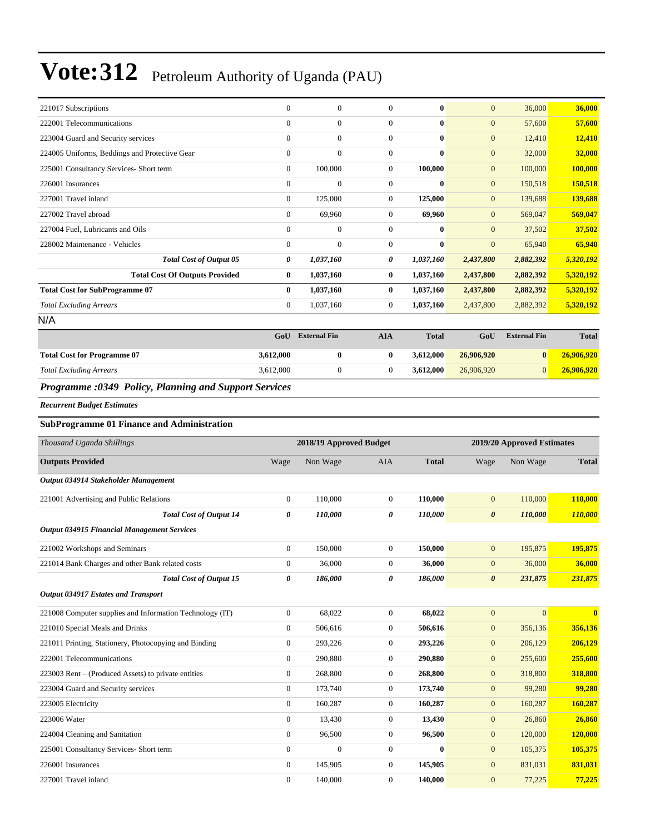| <b>Total Excluding Arrears</b>                | 3,612,000    | $\boldsymbol{0}$    | $\overline{0}$ | 3,612,000    | 26,906,920   | $\overline{0}$      | 26,906,920   |
|-----------------------------------------------|--------------|---------------------|----------------|--------------|--------------|---------------------|--------------|
| <b>Total Cost for Programme 07</b>            | 3,612,000    | 0                   | $\bf{0}$       | 3,612,000    | 26,906,920   | $\bf{0}$            | 26,906,920   |
|                                               | GoU          | <b>External Fin</b> | <b>AIA</b>     | <b>Total</b> | GoU          | <b>External Fin</b> | <b>Total</b> |
| N/A                                           |              |                     |                |              |              |                     |              |
| <b>Total Excluding Arrears</b>                | $\mathbf{0}$ | 1,037,160           | 0              | 1,037,160    | 2,437,800    | 2,882,392           | 5,320,192    |
| <b>Total Cost for SubProgramme 07</b>         | $\bf{0}$     | 1,037,160           | $\bf{0}$       | 1,037,160    | 2,437,800    | 2,882,392           | 5,320,192    |
| <b>Total Cost Of Outputs Provided</b>         | $\bf{0}$     | 1,037,160           | $\bf{0}$       | 1,037,160    | 2,437,800    | 2,882,392           | 5,320,192    |
| <b>Total Cost of Output 05</b>                | 0            | 1,037,160           | 0              | 1,037,160    | 2,437,800    | 2,882,392           | 5,320,192    |
| 228002 Maintenance - Vehicles                 | $\mathbf{0}$ | $\overline{0}$      | $\overline{0}$ | $\bf{0}$     | $\mathbf{0}$ | 65,940              | 65,940       |
| 227004 Fuel, Lubricants and Oils              | $\mathbf{0}$ | $\overline{0}$      | $\overline{0}$ | $\bf{0}$     | $\mathbf{0}$ | 37,502              | 37,502       |
| 227002 Travel abroad                          | $\mathbf{0}$ | 69,960              | $\overline{0}$ | 69,960       | $\mathbf{0}$ | 569,047             | 569,047      |
| 227001 Travel inland                          | $\mathbf{0}$ | 125,000             | $\overline{0}$ | 125,000      | $\mathbf{0}$ | 139,688             | 139,688      |
| 226001 Insurances                             | $\mathbf{0}$ | $\overline{0}$      | $\overline{0}$ | $\bf{0}$     | $\mathbf{0}$ | 150,518             | 150,518      |
| 225001 Consultancy Services- Short term       | $\mathbf{0}$ | 100,000             | $\overline{0}$ | 100,000      | $\mathbf{0}$ | 100,000             | 100,000      |
| 224005 Uniforms, Beddings and Protective Gear | $\mathbf{0}$ | $\overline{0}$      | $\overline{0}$ | $\bf{0}$     | $\mathbf{0}$ | 32,000              | 32,000       |
| 223004 Guard and Security services            | $\mathbf{0}$ | $\overline{0}$      | $\overline{0}$ | $\bf{0}$     | $\mathbf{0}$ | 12,410              | 12,410       |
| 222001 Telecommunications                     | $\mathbf{0}$ | $\boldsymbol{0}$    | $\overline{0}$ | $\bf{0}$     | $\mathbf{0}$ | 57,600              | 57,600       |
| 221017 Subscriptions                          | $\mathbf{0}$ | $\boldsymbol{0}$    | $\overline{0}$ | $\bf{0}$     | $\mathbf{0}$ | 36,000              | 36,000       |

#### *Programme :0349 Policy, Planning and Support Services*

*Recurrent Budget Estimates*

#### **SubProgramme 01 Finance and Administration**

| Thousand Uganda Shillings                                |                | 2018/19 Approved Budget |                  |              |                       | 2019/20 Approved Estimates |              |
|----------------------------------------------------------|----------------|-------------------------|------------------|--------------|-----------------------|----------------------------|--------------|
| <b>Outputs Provided</b>                                  | Wage           | Non Wage                | <b>AIA</b>       | <b>Total</b> | Wage                  | Non Wage                   | <b>Total</b> |
| Output 034914 Stakeholder Management                     |                |                         |                  |              |                       |                            |              |
| 221001 Advertising and Public Relations                  | $\overline{0}$ | 110,000                 | $\overline{0}$   | 110,000      | $\overline{0}$        | 110,000                    | 110,000      |
| <b>Total Cost of Output 14</b>                           | 0              | 110,000                 | 0                | 110,000      | $\boldsymbol{\theta}$ | 110,000                    | 110,000      |
| <b>Output 034915 Financial Management Services</b>       |                |                         |                  |              |                       |                            |              |
| 221002 Workshops and Seminars                            | $\overline{0}$ | 150,000                 | $\overline{0}$   | 150,000      | $\boldsymbol{0}$      | 195,875                    | 195,875      |
| 221014 Bank Charges and other Bank related costs         | $\overline{0}$ | 36,000                  | $\overline{0}$   | 36,000       | $\mathbf{0}$          | 36,000                     | 36,000       |
| <b>Total Cost of Output 15</b>                           | 0              | 186,000                 | 0                | 186,000      | $\boldsymbol{\theta}$ | 231,875                    | 231,875      |
| Output 034917 Estates and Transport                      |                |                         |                  |              |                       |                            |              |
| 221008 Computer supplies and Information Technology (IT) | $\overline{0}$ | 68,022                  | $\mathbf{0}$     | 68,022       | $\boldsymbol{0}$      | $\overline{0}$             | $\mathbf{0}$ |
| 221010 Special Meals and Drinks                          | $\overline{0}$ | 506,616                 | $\overline{0}$   | 506,616      | $\boldsymbol{0}$      | 356,136                    | 356,136      |
| 221011 Printing, Stationery, Photocopying and Binding    | $\mathbf{0}$   | 293,226                 | $\boldsymbol{0}$ | 293,226      | $\mathbf{0}$          | 206,129                    | 206,129      |
| 222001 Telecommunications                                | $\overline{0}$ | 290,880                 | $\overline{0}$   | 290,880      | $\mathbf{0}$          | 255,600                    | 255,600      |
| 223003 Rent – (Produced Assets) to private entities      | $\overline{0}$ | 268,800                 | $\overline{0}$   | 268,800      | $\mathbf{0}$          | 318,800                    | 318,800      |
| 223004 Guard and Security services                       | $\overline{0}$ | 173,740                 | $\overline{0}$   | 173,740      | $\mathbf{0}$          | 99,280                     | 99,280       |
| 223005 Electricity                                       | $\overline{0}$ | 160,287                 | $\overline{0}$   | 160,287      | $\mathbf{0}$          | 160,287                    | 160,287      |
| 223006 Water                                             | $\mathbf{0}$   | 13,430                  | $\mathbf{0}$     | 13,430       | $\mathbf{0}$          | 26,860                     | 26,860       |
| 224004 Cleaning and Sanitation                           | $\overline{0}$ | 96,500                  | $\overline{0}$   | 96,500       | $\mathbf{0}$          | 120,000                    | 120,000      |
| 225001 Consultancy Services- Short term                  | $\overline{0}$ | $\Omega$                | $\overline{0}$   | $\mathbf{0}$ | $\mathbf{0}$          | 105,375                    | 105,375      |
| 226001 Insurances                                        | $\overline{0}$ | 145,905                 | $\overline{0}$   | 145,905      | $\mathbf{0}$          | 831,031                    | 831,031      |
| 227001 Travel inland                                     | $\overline{0}$ | 140,000                 | $\overline{0}$   | 140,000      | $\boldsymbol{0}$      | 77,225                     | 77,225       |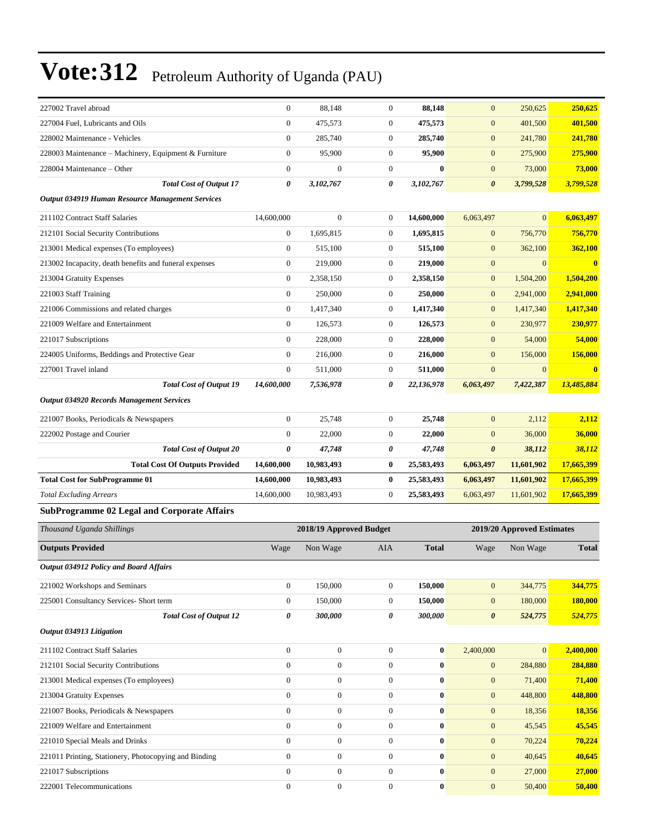| 227002 Travel abroad                                    | $\boldsymbol{0}$ | 88.148                  | $\mathbf{0}$     | 88,148       | $\mathbf{0}$          | 250,625                    | 250,625      |
|---------------------------------------------------------|------------------|-------------------------|------------------|--------------|-----------------------|----------------------------|--------------|
| 227004 Fuel, Lubricants and Oils                        | $\boldsymbol{0}$ | 475,573                 | $\boldsymbol{0}$ | 475,573      | $\boldsymbol{0}$      | 401,500                    | 401,500      |
| 228002 Maintenance - Vehicles                           | $\mathbf{0}$     | 285,740                 | $\boldsymbol{0}$ | 285,740      | $\boldsymbol{0}$      | 241,780                    | 241,780      |
| 228003 Maintenance - Machinery, Equipment & Furniture   | $\mathbf{0}$     | 95,900                  | $\boldsymbol{0}$ | 95,900       | $\mathbf{0}$          | 275,900                    | 275,900      |
| 228004 Maintenance - Other                              | $\boldsymbol{0}$ | $\mathbf{0}$            | $\boldsymbol{0}$ | $\bf{0}$     | $\mathbf{0}$          | 73,000                     | 73,000       |
| <b>Total Cost of Output 17</b>                          | 0                | 3,102,767               | 0                | 3,102,767    | $\boldsymbol{\theta}$ | 3,799,528                  | 3,799,528    |
| <b>Output 034919 Human Resource Management Services</b> |                  |                         |                  |              |                       |                            |              |
| 211102 Contract Staff Salaries                          | 14,600,000       | $\mathbf{0}$            | $\boldsymbol{0}$ | 14,600,000   | 6,063,497             | $\overline{0}$             | 6,063,497    |
| 212101 Social Security Contributions                    | $\boldsymbol{0}$ | 1,695,815               | $\overline{0}$   | 1,695,815    | $\mathbf{0}$          | 756,770                    | 756,770      |
| 213001 Medical expenses (To employees)                  | $\mathbf{0}$     | 515,100                 | $\boldsymbol{0}$ | 515,100      | $\mathbf{0}$          | 362,100                    | 362,100      |
| 213002 Incapacity, death benefits and funeral expenses  | $\boldsymbol{0}$ | 219,000                 | $\boldsymbol{0}$ | 219,000      | $\boldsymbol{0}$      | $\mathbf{0}$               | $\bf{0}$     |
| 213004 Gratuity Expenses                                | $\boldsymbol{0}$ | 2,358,150               | $\boldsymbol{0}$ | 2,358,150    | $\boldsymbol{0}$      | 1,504,200                  | 1,504,200    |
| 221003 Staff Training                                   | $\boldsymbol{0}$ | 250,000                 | $\boldsymbol{0}$ | 250,000      | $\mathbf{0}$          | 2,941,000                  | 2,941,000    |
| 221006 Commissions and related charges                  | $\boldsymbol{0}$ | 1,417,340               | $\boldsymbol{0}$ | 1,417,340    | $\mathbf{0}$          | 1,417,340                  | 1,417,340    |
| 221009 Welfare and Entertainment                        | $\theta$         | 126,573                 | $\boldsymbol{0}$ | 126,573      | $\mathbf{0}$          | 230,977                    | 230,977      |
| 221017 Subscriptions                                    | $\boldsymbol{0}$ | 228,000                 | $\boldsymbol{0}$ | 228,000      | $\mathbf{0}$          | 54,000                     | 54,000       |
| 224005 Uniforms, Beddings and Protective Gear           | $\boldsymbol{0}$ | 216,000                 | $\boldsymbol{0}$ | 216,000      | $\mathbf{0}$          | 156,000                    | 156,000      |
| 227001 Travel inland                                    | $\boldsymbol{0}$ | 511,000                 | $\boldsymbol{0}$ | 511,000      | $\boldsymbol{0}$      | $\mathbf{0}$               | $\bf{0}$     |
| <b>Total Cost of Output 19</b>                          | 14,600,000       | 7,536,978               | 0                | 22,136,978   | 6,063,497             | 7,422,387                  | 13,485,884   |
| <b>Output 034920 Records Management Services</b>        |                  |                         |                  |              |                       |                            |              |
| 221007 Books, Periodicals & Newspapers                  | $\boldsymbol{0}$ | 25,748                  | $\boldsymbol{0}$ | 25,748       | $\mathbf{0}$          | 2,112                      | 2,112        |
| 222002 Postage and Courier                              | $\mathbf{0}$     | 22,000                  | $\boldsymbol{0}$ | 22,000       | $\mathbf{0}$          | 36,000                     | 36,000       |
| <b>Total Cost of Output 20</b>                          | 0                | 47,748                  | 0                | 47,748       | $\boldsymbol{\theta}$ | 38,112                     | 38,112       |
| <b>Total Cost Of Outputs Provided</b>                   | 14,600,000       | 10,983,493              | 0                | 25,583,493   | 6,063,497             | 11,601,902                 | 17,665,399   |
| <b>Total Cost for SubProgramme 01</b>                   | 14,600,000       | 10,983,493              | 0                | 25,583,493   | 6,063,497             | 11,601,902                 | 17,665,399   |
| <b>Total Excluding Arrears</b>                          | 14,600,000       | 10,983,493              | $\boldsymbol{0}$ | 25,583,493   | 6,063,497             | 11,601,902                 | 17,665,399   |
| <b>SubProgramme 02 Legal and Corporate Affairs</b>      |                  |                         |                  |              |                       |                            |              |
|                                                         |                  |                         |                  |              |                       |                            |              |
| Thousand Uganda Shillings                               |                  | 2018/19 Approved Budget |                  |              |                       | 2019/20 Approved Estimates |              |
| <b>Outputs Provided</b>                                 | Wage             | Non Wage                | AIA              | <b>Total</b> | Wage                  | Non Wage                   | <b>Total</b> |
| <b>Output 034912 Policy and Board Affairs</b>           |                  |                         |                  |              |                       |                            |              |
| 221002 Workshops and Seminars                           | $\boldsymbol{0}$ | 150,000                 | $\mathbf{0}$     | 150,000      | $\mathbf{0}$          | 344,775                    | 344,775      |
| 225001 Consultancy Services- Short term                 | $\boldsymbol{0}$ | 150,000                 | $\mathbf{0}$     | 150,000      | $\mathbf{0}$          | 180,000                    | 180,000      |
| <b>Total Cost of Output 12</b>                          | 0                | 300,000                 | 0                | 300,000      | $\boldsymbol{\theta}$ | 524,775                    | 524,775      |
| Output 034913 Litigation                                |                  |                         |                  |              |                       |                            |              |
| 211102 Contract Staff Salaries                          | $\boldsymbol{0}$ | $\mathbf{0}$            | $\mathbf{0}$     | $\bf{0}$     | 2,400,000             | $\mathbf{0}$               | 2,400,000    |
| 212101 Social Security Contributions                    | $\overline{0}$   | $\boldsymbol{0}$        | $\boldsymbol{0}$ | $\bf{0}$     | $\mathbf{0}$          | 284,880                    | 284,880      |
| 213001 Medical expenses (To employees)                  | $\boldsymbol{0}$ | $\boldsymbol{0}$        | $\boldsymbol{0}$ | $\bf{0}$     | $\mathbf{0}$          | 71,400                     | 71,400       |
| 213004 Gratuity Expenses                                | $\mathbf{0}$     | $\boldsymbol{0}$        | $\boldsymbol{0}$ | $\bf{0}$     | $\mathbf{0}$          | 448,800                    | 448,800      |
| 221007 Books, Periodicals & Newspapers                  | $\boldsymbol{0}$ | $\boldsymbol{0}$        | $\boldsymbol{0}$ | $\bf{0}$     | $\mathbf{0}$          | 18,356                     | 18,356       |
| 221009 Welfare and Entertainment                        | $\boldsymbol{0}$ | $\boldsymbol{0}$        | $\boldsymbol{0}$ | $\bf{0}$     | $\mathbf{0}$          | 45,545                     | 45,545       |
| 221010 Special Meals and Drinks                         | $\boldsymbol{0}$ | $\boldsymbol{0}$        | $\boldsymbol{0}$ | $\bf{0}$     | $\mathbf{0}$          | 70,224                     | 70,224       |
| 221011 Printing, Stationery, Photocopying and Binding   | $\boldsymbol{0}$ | $\boldsymbol{0}$        | $\boldsymbol{0}$ | $\bf{0}$     | $\mathbf{0}$          | 40,645                     | 40,645       |
| 221017 Subscriptions                                    | $\mathbf{0}$     | $\boldsymbol{0}$        | $\boldsymbol{0}$ | $\bf{0}$     | $\mathbf{0}$          | 27,000                     | 27,000       |
|                                                         |                  |                         |                  |              |                       |                            |              |
| 222001 Telecommunications                               | $\boldsymbol{0}$ | $\boldsymbol{0}$        | $\boldsymbol{0}$ | $\bf{0}$     | $\mathbf{0}$          | 50,400                     | 50,400       |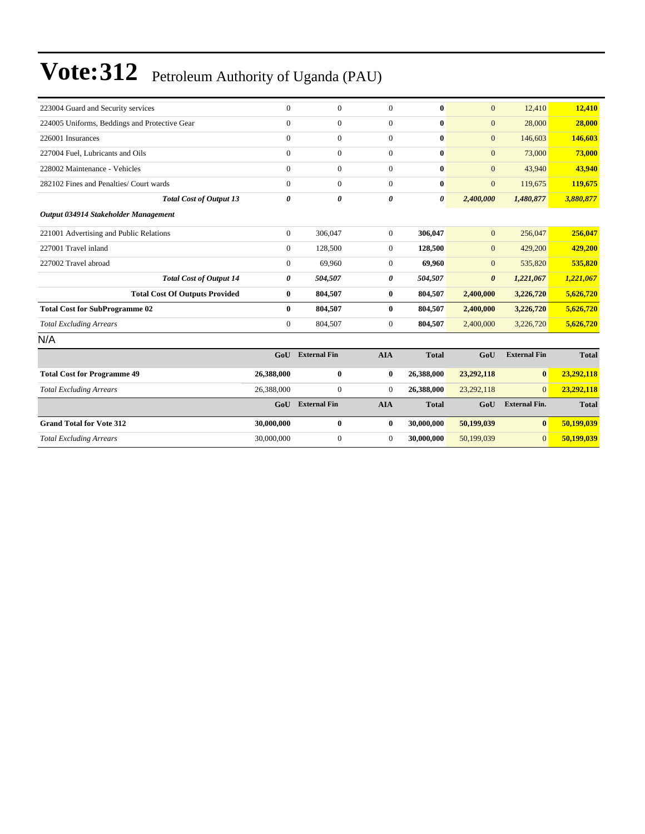| 223004 Guard and Security services            | $\mathbf{0}$   | $\overline{0}$      | $\overline{0}$ | $\bf{0}$     | $\mathbf{0}$          | 12,410               | 12,410       |
|-----------------------------------------------|----------------|---------------------|----------------|--------------|-----------------------|----------------------|--------------|
| 224005 Uniforms, Beddings and Protective Gear | $\mathbf{0}$   | $\boldsymbol{0}$    | $\overline{0}$ | $\bf{0}$     | $\mathbf{0}$          | 28,000               | 28,000       |
| 226001 Insurances                             | $\Omega$       | $\overline{0}$      | $\overline{0}$ | $\mathbf{0}$ | $\mathbf{0}$          | 146,603              | 146,603      |
| 227004 Fuel, Lubricants and Oils              | $\Omega$       | $\overline{0}$      | $\overline{0}$ | $\mathbf{0}$ | $\mathbf{0}$          | 73,000               | 73,000       |
| 228002 Maintenance - Vehicles                 | $\mathbf{0}$   | $\overline{0}$      | $\overline{0}$ | $\mathbf{0}$ | $\overline{0}$        | 43,940               | 43,940       |
| 282102 Fines and Penalties/ Court wards       | $\Omega$       | $\overline{0}$      | $\overline{0}$ | $\bf{0}$     | $\mathbf{0}$          | 119,675              | 119,675      |
| <b>Total Cost of Output 13</b>                | $\theta$       | 0                   | 0              | 0            | 2,400,000             | 1,480,877            | 3,880,877    |
| Output 034914 Stakeholder Management          |                |                     |                |              |                       |                      |              |
| 221001 Advertising and Public Relations       | $\overline{0}$ | 306,047             | $\overline{0}$ | 306,047      | $\mathbf{0}$          | 256,047              | 256,047      |
| 227001 Travel inland                          | $\mathbf{0}$   | 128,500             | $\overline{0}$ | 128,500      | $\mathbf{0}$          | 429,200              | 429,200      |
| 227002 Travel abroad                          | $\mathbf{0}$   | 69,960              | $\overline{0}$ | 69,960       | $\mathbf{0}$          | 535,820              | 535,820      |
| <b>Total Cost of Output 14</b>                | 0              | 504,507             | 0              | 504,507      | $\boldsymbol{\theta}$ | 1,221,067            | 1,221,067    |
| <b>Total Cost Of Outputs Provided</b>         | $\bf{0}$       | 804,507             | $\bf{0}$       | 804,507      | 2,400,000             | 3,226,720            | 5,626,720    |
| <b>Total Cost for SubProgramme 02</b>         | $\bf{0}$       | 804,507             | $\bf{0}$       | 804,507      | 2,400,000             | 3,226,720            | 5,626,720    |
| <b>Total Excluding Arrears</b>                | $\mathbf{0}$   | 804,507             | $\overline{0}$ | 804,507      | 2,400,000             | 3,226,720            | 5,626,720    |
| N/A                                           |                |                     |                |              |                       |                      |              |
|                                               | GoU            | <b>External Fin</b> | <b>AIA</b>     | <b>Total</b> | GoU                   | <b>External Fin</b>  | <b>Total</b> |
| <b>Total Cost for Programme 49</b>            | 26,388,000     | $\bf{0}$            | $\bf{0}$       | 26,388,000   | 23,292,118            | $\bf{0}$             | 23,292,118   |
| <b>Total Excluding Arrears</b>                | 26,388,000     | $\overline{0}$      | $\overline{0}$ | 26,388,000   | 23,292,118            | $\Omega$             | 23,292,118   |
|                                               | GoU            | <b>External Fin</b> | <b>AIA</b>     | <b>Total</b> | GoU                   | <b>External Fin.</b> | <b>Total</b> |
| <b>Grand Total for Vote 312</b>               | 30,000,000     | $\bf{0}$            | $\bf{0}$       | 30,000,000   | 50,199,039            | $\bf{0}$             | 50,199,039   |
| <b>Total Excluding Arrears</b>                | 30,000,000     | $\overline{0}$      | $\overline{0}$ | 30,000,000   | 50,199,039            | $\overline{0}$       | 50,199,039   |